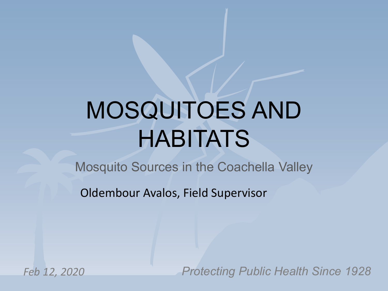# MOSQUITOES AND HABITATS

Mosquito Sources in the Coachella Valley

Oldembour Avalos, Field Supervisor

*Feb 12, 2020*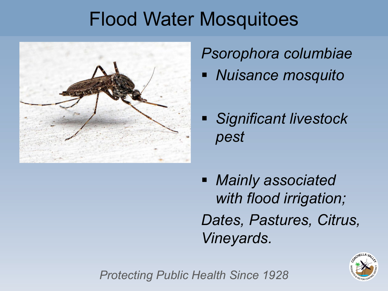# Flood Water Mosquitoes



*Psorophora columbiae*

- *Nuisance mosquito*
- *Significant livestock pest*
- *Mainly associated with flood irrigation; Dates, Pastures, Citrus, Vineyards.*

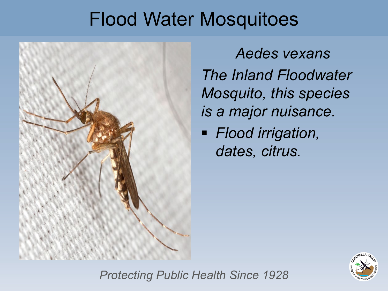# Flood Water Mosquitoes



*Aedes vexans The Inland Floodwater Mosquito, this species is a major nuisance.*

 *Flood irrigation, dates, citrus.* 

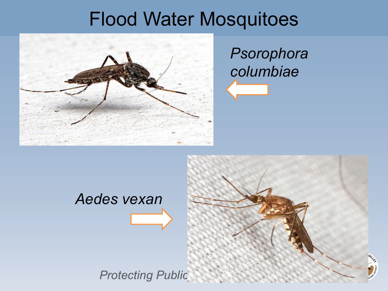# Flood Water Mosquitoes



## *Psorophora columbiae*

# **Protecting Public** *Aedes vexan*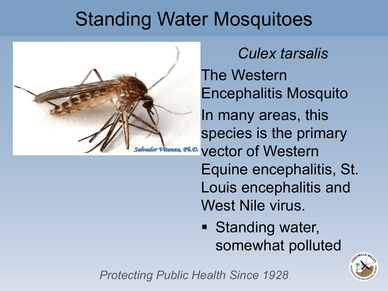# Standing Water Mosquitoes



*Culex tarsalis* The Western Encephalitis Mosquito In many areas, this species is the primary Salvador Vitanza, *Qh.D.* Vector of Western Equine encephalitis, St. Louis encephalitis and West Nile virus.

> **Standing water,** somewhat polluted

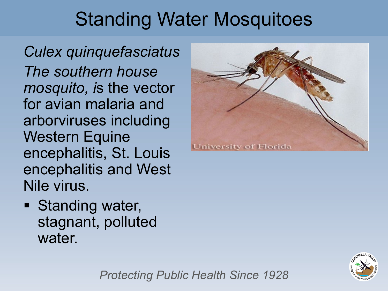# Standing Water Mosquitoes

*Culex quinquefasciatus The southern house mosquito, i*s the vector for avian malaria and arborviruses including Western Equine encephalitis, St. Louis encephalitis and West Nile virus.

**University of Florida** 

**Standing water,** stagnant, polluted water.

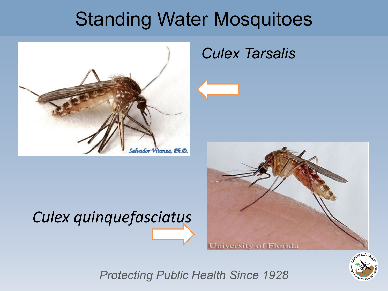# Standing Water Mosquitoes



#### *Culex Tarsalis*



# *Culex quinquefasciatus*

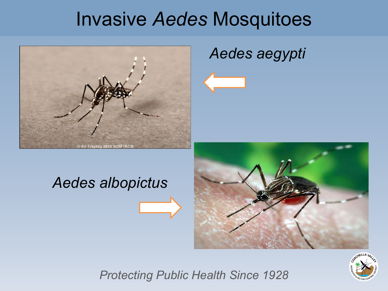# Invasive *Aedes* Mosquitoes



#### *Aedes aegypti*

#### *Aedes albopictus*



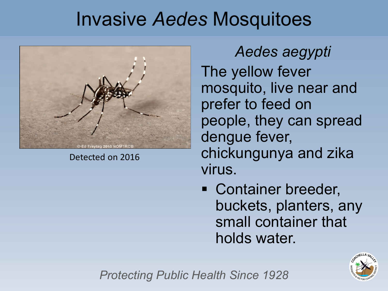# Invasive *Aedes* Mosquitoes



Detected on 2016

*Aedes aegypti* The yellow fever mosquito, live near and prefer to feed on people, they can spread dengue fever, chickungunya and zika virus.

**Container breeder,** buckets, planters, any small container that holds water.